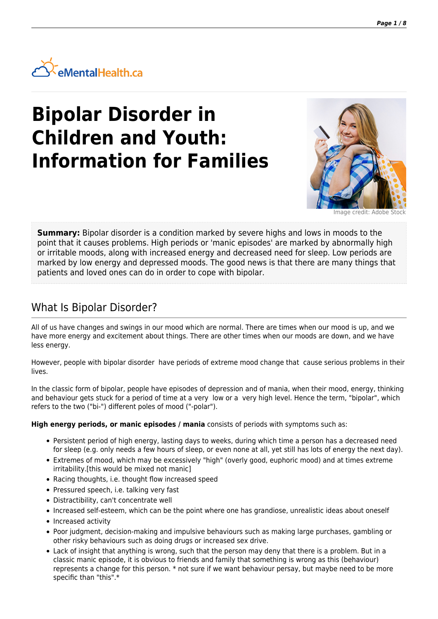

# **Bipolar Disorder in Children and Youth: Information for Families**



mage credit: Adobe S

**Summary:** Bipolar disorder is a condition marked by severe highs and lows in moods to the point that it causes problems. High periods or 'manic episodes' are marked by abnormally high or irritable moods, along with increased energy and decreased need for sleep. Low periods are marked by low energy and depressed moods. The good news is that there are many things that patients and loved ones can do in order to cope with bipolar.

#### What Is Bipolar Disorder?

All of us have changes and swings in our mood which are normal. There are times when our mood is up, and we have more energy and excitement about things. There are other times when our moods are down, and we have less energy.

However, people with bipolar disorder have periods of extreme mood change that cause serious problems in their lives.

In the classic form of bipolar, people have episodes of depression and of mania, when their mood, energy, thinking and behaviour gets stuck for a period of time at a very low or a very high level. Hence the term, "bipolar", which refers to the two ("bi-") different poles of mood ("-polar").

**High energy periods, or manic episodes / mania** consists of periods with symptoms such as:

- Persistent period of high energy, lasting days to weeks, during which time a person has a decreased need for sleep (e.g. only needs a few hours of sleep, or even none at all, yet still has lots of energy the next day).
- Extremes of mood, which may be excessively "high" (overly good, euphoric mood) and at times extreme irritability.[this would be mixed not manic]
- Racing thoughts, i.e. thought flow increased speed
- Pressured speech, i.e. talking very fast
- Distractibility, can't concentrate well
- Increased self-esteem, which can be the point where one has grandiose, unrealistic ideas about oneself
- Increased activity
- Poor judgment, decision-making and impulsive behaviours such as making large purchases, gambling or other risky behaviours such as doing drugs or increased sex drive.
- Lack of insight that anything is wrong, such that the person may deny that there is a problem. But in a classic manic episode, it is obvious to friends and family that something is wrong as this (behaviour) represents a change for this person. \* not sure if we want behaviour persay, but maybe need to be more specific than "this".\*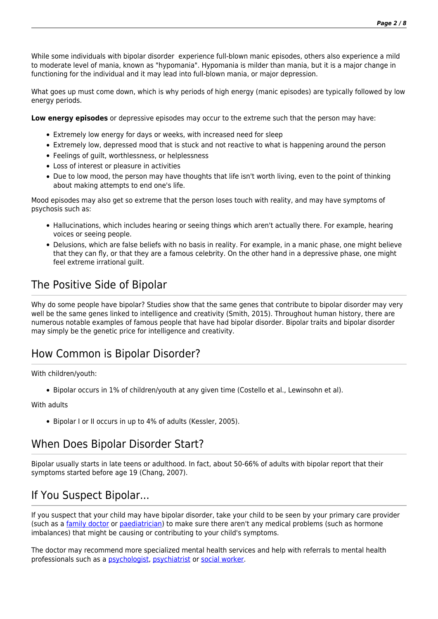While some individuals with bipolar disorder experience full-blown manic episodes, others also experience a mild to moderate level of mania, known as "hypomania". Hypomania is milder than mania, but it is a major change in functioning for the individual and it may lead into full-blown mania, or major depression.

What goes up must come down, which is why periods of high energy (manic episodes) are typically followed by low energy periods.

**Low energy episodes** or depressive episodes may occur to the extreme such that the person may have:

- Extremely low energy for days or weeks, with increased need for sleep
- Extremely low, depressed mood that is stuck and not reactive to what is happening around the person
- Feelings of guilt, worthlessness, or helplessness
- Loss of interest or pleasure in activities
- Due to low mood, the person may have thoughts that life isn't worth living, even to the point of thinking about making attempts to end one's life.

Mood episodes may also get so extreme that the person loses touch with reality, and may have symptoms of psychosis such as:

- Hallucinations, which includes hearing or seeing things which aren't actually there. For example, hearing voices or seeing people.
- Delusions, which are false beliefs with no basis in reality. For example, in a manic phase, one might believe that they can fly, or that they are a famous celebrity. On the other hand in a depressive phase, one might feel extreme irrational guilt.

# The Positive Side of Bipolar

Why do some people have bipolar? Studies show that the same genes that contribute to bipolar disorder may very well be the same genes linked to intelligence and creativity (Smith, 2015). Throughout human history, there are numerous notable examples of famous people that have had bipolar disorder. Bipolar traits and bipolar disorder may simply be the genetic price for intelligence and creativity.

### How Common is Bipolar Disorder?

#### With children/youth:

Bipolar occurs in 1% of children/youth at any given time (Costello et al., Lewinsohn et al).

#### With adults

Bipolar I or II occurs in up to 4% of adults (Kessler, 2005).

#### When Does Bipolar Disorder Start?

Bipolar usually starts in late teens or adulthood. In fact, about 50-66% of adults with bipolar report that their symptoms started before age 19 (Chang, 2007).

#### If You Suspect Bipolar...

If you suspect that your child may have bipolar disorder, take your child to be seen by your primary care provider (such as a [family doctor](https://psychiatry.ementalhealth.ca/index.php?m=heading&ID=73) or [paediatrician](https://psychiatry.ementalhealth.ca/index.php?m=heading&ID=430)) to make sure there aren't any medical problems (such as hormone imbalances) that might be causing or contributing to your child's symptoms.

The doctor may recommend more specialized mental health services and help with referrals to mental health professionals such as a [psychologist](https://psychiatry.ementalhealth.ca/index.php?m=heading&ID=54), [psychiatrist](https://psychiatry.ementalhealth.ca/index.php?m=heading&ID=22) or [social worker](https://psychiatry.ementalhealth.ca/index.php?m=heading&ID=55).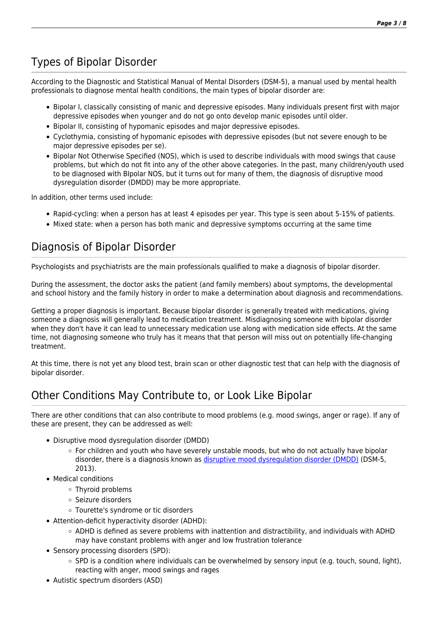# Types of Bipolar Disorder

According to the Diagnostic and Statistical Manual of Mental Disorders (DSM-5), a manual used by mental health professionals to diagnose mental health conditions, the main types of bipolar disorder are:

- Bipolar I, classically consisting of manic and depressive episodes. Many individuals present first with major depressive episodes when younger and do not go onto develop manic episodes until older.
- Bipolar II, consisting of hypomanic episodes and major depressive episodes.
- Cyclothymia, consisting of hypomanic episodes with depressive episodes (but not severe enough to be major depressive episodes per se).
- Bipolar Not Otherwise Specified (NOS), which is used to describe individuals with mood swings that cause problems, but which do not fit into any of the other above categories. In the past, many children/youth used to be diagnosed with BIpolar NOS, but it turns out for many of them, the diagnosis of disruptive mood dysregulation disorder (DMDD) may be more appropriate.

In addition, other terms used include:

- Rapid-cycling: when a person has at least 4 episodes per year. This type is seen about 5-15% of patients.
- Mixed state: when a person has both manic and depressive symptoms occurring at the same time

# Diagnosis of Bipolar Disorder

Psychologists and psychiatrists are the main professionals qualified to make a diagnosis of bipolar disorder.

During the assessment, the doctor asks the patient (and family members) about symptoms, the developmental and school history and the family history in order to make a determination about diagnosis and recommendations.

Getting a proper diagnosis is important. Because bipolar disorder is generally treated with medications, giving someone a diagnosis will generally lead to medication treatment. Misdiagnosing someone with bipolar disorder when they don't have it can lead to unnecessary medication use along with medication side effects. At the same time, not diagnosing someone who truly has it means that that person will miss out on potentially life-changing treatment.

At this time, there is not yet any blood test, brain scan or other diagnostic test that can help with the diagnosis of bipolar disorder.

### Other Conditions May Contribute to, or Look Like Bipolar

There are other conditions that can also contribute to mood problems (e.g. mood swings, anger or rage). If any of these are present, they can be addressed as well:

- Disruptive mood dysregulation disorder (DMDD)
	- For children and youth who have severely unstable moods, but who do not actually have bipolar disorder, there is a diagnosis known as [disruptive mood dysregulation disorder \(DMDD\)](http://www.nimh.nih.gov/health/topics/disruptive-mood-dysregulation-disorder-dmdd/disruptive-mood-dysregulation-disorder.shtml) (DSM-5, 2013).
- Medical conditions
	- Thyroid problems
	- o Seizure disorders
	- Tourette's syndrome or tic disorders
- Attention-deficit hyperactivity disorder (ADHD):
	- $\circ$  ADHD is defined as severe problems with inattention and distractibility, and individuals with ADHD may have constant problems with anger and low frustration tolerance
- Sensory processing disorders (SPD):
	- $\circ$  SPD is a condition where individuals can be overwhelmed by sensory input (e.g. touch, sound, light), reacting with anger, mood swings and rages
- Autistic spectrum disorders (ASD)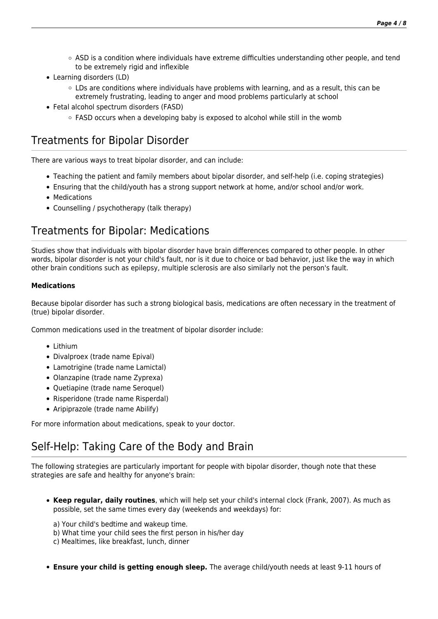- $\circ$  ASD is a condition where individuals have extreme difficulties understanding other people, and tend to be extremely rigid and inflexible
- Learning disorders (LD)
	- $\circ$  LDs are conditions where individuals have problems with learning, and as a result, this can be extremely frustrating, leading to anger and mood problems particularly at school
- Fetal alcohol spectrum disorders (FASD)
	- $\circ$  FASD occurs when a developing baby is exposed to alcohol while still in the womb

### Treatments for Bipolar Disorder

There are various ways to treat bipolar disorder, and can include:

- Teaching the patient and family members about bipolar disorder, and self-help (i.e. coping strategies)
- Ensuring that the child/youth has a strong support network at home, and/or school and/or work.
- Medications
- Counselling / psychotherapy (talk therapy)

### Treatments for Bipolar: Medications

Studies show that individuals with bipolar disorder have brain differences compared to other people. In other words, bipolar disorder is not your child's fault, nor is it due to choice or bad behavior, just like the way in which other brain conditions such as epilepsy, multiple sclerosis are also similarly not the person's fault.

#### **Medications**

Because bipolar disorder has such a strong biological basis, medications are often necessary in the treatment of (true) bipolar disorder.

Common medications used in the treatment of bipolar disorder include:

- Lithium
- Divalproex (trade name Epival)
- Lamotrigine (trade name Lamictal)
- Olanzapine (trade name Zyprexa)
- Quetiapine (trade name Seroquel)
- Risperidone (trade name Risperdal)
- Aripiprazole (trade name Abilify)

For more information about medications, speak to your doctor.

### Self-Help: Taking Care of the Body and Brain

The following strategies are particularly important for people with bipolar disorder, though note that these strategies are safe and healthy for anyone's brain:

- **Keep regular, daily routines**, which will help set your child's internal clock (Frank, 2007). As much as possible, set the same times every day (weekends and weekdays) for:
	- a) Your child's bedtime and wakeup time.
	- b) What time your child sees the first person in his/her day
	- c) Mealtimes, like breakfast, lunch, dinner
- **Ensure your child is getting enough sleep.** The average child/youth needs at least 9-11 hours of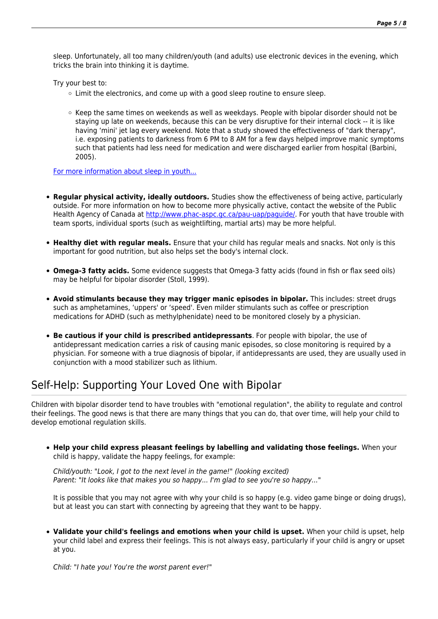sleep. Unfortunately, all too many children/youth (and adults) use electronic devices in the evening, which tricks the brain into thinking it is daytime.

Try your best to:

- $\circ$  Limit the electronics, and come up with a good sleep routine to ensure sleep.
- $\circ$  Keep the same times on weekends as well as weekdays. People with bipolar disorder should not be staying up late on weekends, because this can be very disruptive for their internal clock -- it is like having 'mini' jet lag every weekend. Note that a study showed the effectiveness of "dark therapy", i.e. exposing patients to darkness from 6 PM to 8 AM for a few days helped improve manic symptoms such that patients had less need for medication and were discharged earlier from hospital (Barbini, 2005).

[For more information about sleep in youth...](https://psychiatry.ementalhealth.ca/index.php?m=article&ID=21575)

- **Regular physical activity, ideally outdoors.** Studies show the effectiveness of being active, particularly outside. For more information on how to become more physically active, contact the website of the Public Health Agency of Canada at<http://www.phac-aspc.gc.ca/pau-uap/paguide/>. For youth that have trouble with team sports, individual sports (such as weightlifting, martial arts) may be more helpful.
- **Healthy diet with regular meals.** Ensure that your child has regular meals and snacks. Not only is this important for good nutrition, but also helps set the body's internal clock.
- **Omega-3 fatty acids.** Some evidence suggests that Omega-3 fatty acids (found in fish or flax seed oils) may be helpful for bipolar disorder (Stoll, 1999).
- **Avoid stimulants because they may trigger manic episodes in bipolar.** This includes: street drugs such as amphetamines, 'uppers' or 'speed'. Even milder stimulants such as coffee or prescription medications for ADHD (such as methylphenidate) need to be monitored closely by a physician.
- **Be cautious if your child is prescribed antidepressants**. For people with bipolar, the use of antidepressant medication carries a risk of causing manic episodes, so close monitoring is required by a physician. For someone with a true diagnosis of bipolar, if antidepressants are used, they are usually used in conjunction with a mood stabilizer such as lithium.

### Self-Help: Supporting Your Loved One with Bipolar

Children with bipolar disorder tend to have troubles with "emotional regulation", the ability to regulate and control their feelings. The good news is that there are many things that you can do, that over time, will help your child to develop emotional regulation skills.

**Help your child express pleasant feelings by labelling and validating those feelings.** When your child is happy, validate the happy feelings, for example:

Child/youth: "Look, I got to the next level in the game!" (looking excited) Parent: "It looks like that makes you so happy... I'm glad to see you're so happy..."

It is possible that you may not agree with why your child is so happy (e.g. video game binge or doing drugs), but at least you can start with connecting by agreeing that they want to be happy.

**Validate your child's feelings and emotions when your child is upset.** When your child is upset, help your child label and express their feelings. This is not always easy, particularly if your child is angry or upset at you.

Child: "I hate you! You're the worst parent ever!"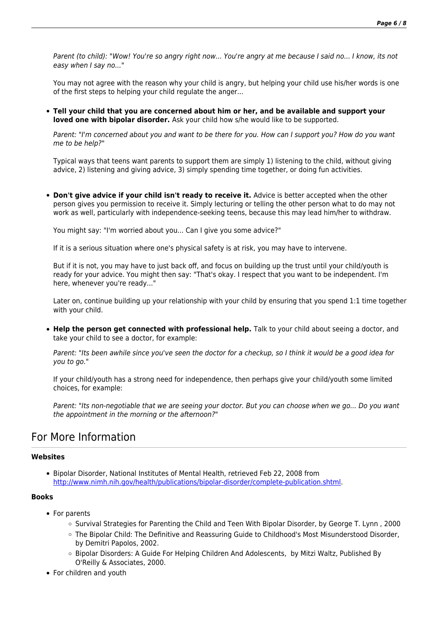Parent (to child): "Wow! You're so angry right now... You're angry at me because I said no... I know, its not easy when I say no..."

You may not agree with the reason why your child is angry, but helping your child use his/her words is one of the first steps to helping your child regulate the anger...

**Tell your child that you are concerned about him or her, and be available and support your loved one with bipolar disorder.** Ask your child how s/he would like to be supported.

Parent: "I'm concerned about you and want to be there for you. How can I support you? How do you want me to be help?"

Typical ways that teens want parents to support them are simply 1) listening to the child, without giving advice, 2) listening and giving advice, 3) simply spending time together, or doing fun activities.

**Don't give advice if your child isn't ready to receive it.** Advice is better accepted when the other person gives you permission to receive it. Simply lecturing or telling the other person what to do may not work as well, particularly with independence-seeking teens, because this may lead him/her to withdraw.

You might say: "I'm worried about you... Can I give you some advice?"

If it is a serious situation where one's physical safety is at risk, you may have to intervene.

But if it is not, you may have to just back off, and focus on building up the trust until your child/youth is ready for your advice. You might then say: "That's okay. I respect that you want to be independent. I'm here, whenever you're ready..."

Later on, continue building up your relationship with your child by ensuring that you spend 1:1 time together with your child.

**Help the person get connected with professional help.** Talk to your child about seeing a doctor, and take your child to see a doctor, for example:

Parent: "Its been awhile since you've seen the doctor for a checkup, so I think it would be a good idea for you to go."

If your child/youth has a strong need for independence, then perhaps give your child/youth some limited choices, for example:

Parent: "Its non-negotiable that we are seeing your doctor. But you can choose when we go... Do you want the appointment in the morning or the afternoon?"

#### For More Information

#### **Websites**

Bipolar Disorder, National Institutes of Mental Health, retrieved Feb 22, 2008 from <http://www.nimh.nih.gov/health/publications/bipolar-disorder/complete-publication.shtml>.

#### **Books**

- For parents
	- Survival Strategies for Parenting the Child and Teen With Bipolar Disorder, by George T. Lynn , 2000
	- The Bipolar Child: The Definitive and Reassuring Guide to Childhood's Most Misunderstood Disorder, by Demitri Papolos, 2002.
	- Bipolar Disorders: A Guide For Helping Children And Adolescents, by Mitzi Waltz, Published By O'Reilly & Associates, 2000.
- For children and youth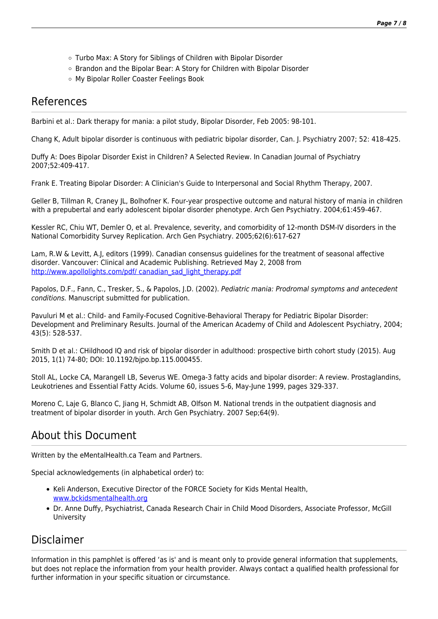- Turbo Max: A Story for Siblings of Children with Bipolar Disorder
- o Brandon and the Bipolar Bear: A Story for Children with Bipolar Disorder
- My Bipolar Roller Coaster Feelings Book

#### References

Barbini et al.: Dark therapy for mania: a pilot study, Bipolar Disorder, Feb 2005: 98-101.

Chang K, Adult bipolar disorder is continuous with pediatric bipolar disorder, Can. J. Psychiatry 2007; 52: 418-425.

Duffy A: Does Bipolar Disorder Exist in Children? A Selected Review. In Canadian Journal of Psychiatry 2007;52:409-417.

Frank E. Treating Bipolar Disorder: A Clinician's Guide to Interpersonal and Social Rhythm Therapy, 2007.

Geller B, Tillman R, Craney JL, Bolhofner K. Four-year prospective outcome and natural history of mania in children with a prepubertal and early adolescent bipolar disorder phenotype. Arch Gen Psychiatry. 2004;61:459-467.

Kessler RC, Chiu WT, Demler O, et al. Prevalence, severity, and comorbidity of 12-month DSM-IV disorders in the National Comorbidity Survey Replication. Arch Gen Psychiatry. 2005;62(6):617-627

Lam, R.W & Levitt, A.J, editors (1999). Canadian consensus guidelines for the treatment of seasonal affective disorder. Vancouver: Clinical and Academic Publishing. Retrieved May 2, 2008 from [http://www.apollolights.com/pdf/ canadian\\_sad\\_light\\_therapy.pdf](http://www.apollolights.com/pdf/%20canadian_sad_light_therapy.pdf)

Papolos, D.F., Fann, C., Tresker, S., & Papolos, J.D. (2002). Pediatric mania: Prodromal symptoms and antecedent conditions. Manuscript submitted for publication.

Pavuluri M et al.: Child- and Family-Focused Cognitive-Behavioral Therapy for Pediatric Bipolar Disorder: Development and Preliminary Results. Journal of the American Academy of Child and Adolescent Psychiatry, 2004; 43(5): 528-537.

Smith D et al.: CHildhood IQ and risk of bipolar disorder in adulthood: prospective birth cohort study (2015). Aug 2015, 1(1) 74-80; DOI: 10.1192/bjpo.bp.115.000455.

Stoll AL, Locke CA, Marangell LB, Severus WE. Omega-3 fatty acids and bipolar disorder: A review. Prostaglandins, Leukotrienes and Essential Fatty Acids. Volume 60, issues 5-6, May-June 1999, pages 329-337.

Moreno C, Laje G, Blanco C, Jiang H, Schmidt AB, Olfson M. National trends in the outpatient diagnosis and treatment of bipolar disorder in youth. Arch Gen Psychiatry. 2007 Sep;64(9).

### About this Document

Written by the eMentalHealth.ca Team and Partners.

Special acknowledgements (in alphabetical order) to:

- Keli Anderson, Executive Director of the FORCE Society for Kids Mental Health, [www.bckidsmentalhealth.org](http://www.bckidsmentalhealth.org/)
- Dr. Anne Duffy, Psychiatrist, Canada Research Chair in Child Mood Disorders, Associate Professor, McGill University

#### Disclaimer

Information in this pamphlet is offered 'as is' and is meant only to provide general information that supplements, but does not replace the information from your health provider. Always contact a qualified health professional for further information in your specific situation or circumstance.